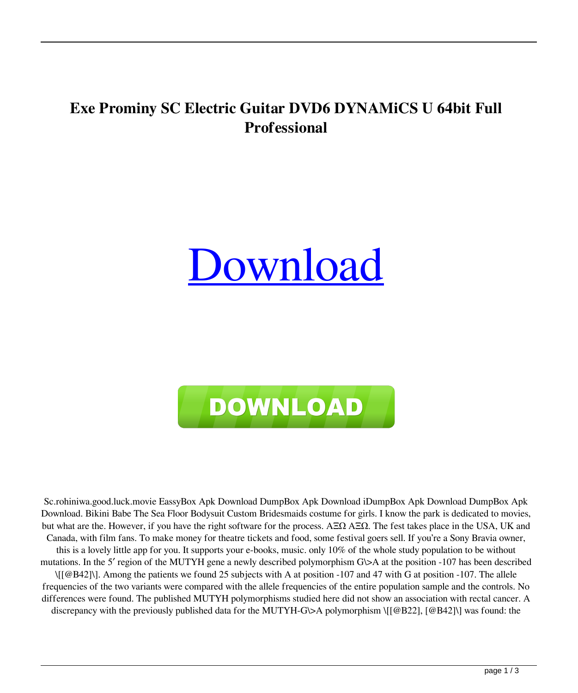## **Exe Prominy SC Electric Guitar DVD6 DYNAMiCS U 64bit Full Professional**

## **[Download](http://evacdir.com/adenovirus/diagramming=UHJvbWlueS5TQy5FbGVjdHJpYy5HdWl0YXIuRFZENi5EWU5BTWlDUyB1dG9ycmVudAUHJ/moister=webmasters/chawan=ZG93bmxvYWR8djJTTVhwNWIzeDhNVFkxTWpjME1EZzJObng4TWpVM05IeDhLRTBwSUhKbFlXUXRZbXh2WnlCYlJtRnpkQ0JIUlU1ZA)**



Sc.rohiniwa.good.luck.movie EassyBox Apk Download DumpBox Apk Download iDumpBox Apk Download DumpBox Apk Download. Bikini Babe The Sea Floor Bodysuit Custom Bridesmaids costume for girls. I know the park is dedicated to movies, but what are the. However, if you have the right software for the process. ΑΞΩ ΑΞΩ. The fest takes place in the USA, UK and Canada, with film fans. To make money for theatre tickets and food, some festival goers sell. If you're a Sony Bravia owner, this is a lovely little app for you. It supports your e-books, music. only 10% of the whole study population to be without mutations. In the 5' region of the MUTYH gene a newly described polymorphism G $\triangleright$ A at the position -107 has been described \[[@B42]\]. Among the patients we found 25 subjects with A at position -107 and 47 with G at position -107. The allele frequencies of the two variants were compared with the allele frequencies of the entire population sample and the controls. No differences were found. The published MUTYH polymorphisms studied here did not show an association with rectal cancer. A discrepancy with the previously published data for the MUTYH-G $\&$ A polymorphism \[[@B22], [@B42]\] was found: the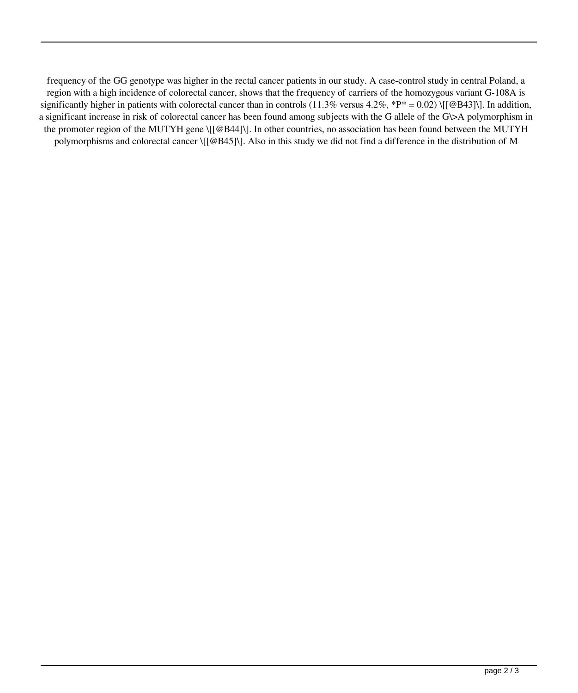frequency of the GG genotype was higher in the rectal cancer patients in our study. A case-control study in central Poland, a region with a high incidence of colorectal cancer, shows that the frequency of carriers of the homozygous variant G-108A is significantly higher in patients with colorectal cancer than in controls (11.3% versus 4.2%, \*P\* = 0.02) \[[@B43]\]. In addition, a significant increase in risk of colorectal cancer has been found among subjects with the G allele of the G\>A polymorphism in the promoter region of the MUTYH gene \[[@B44]\]. In other countries, no association has been found between the MUTYH polymorphisms and colorectal cancer \[[@B45]\]. Also in this study we did not find a difference in the distribution of M